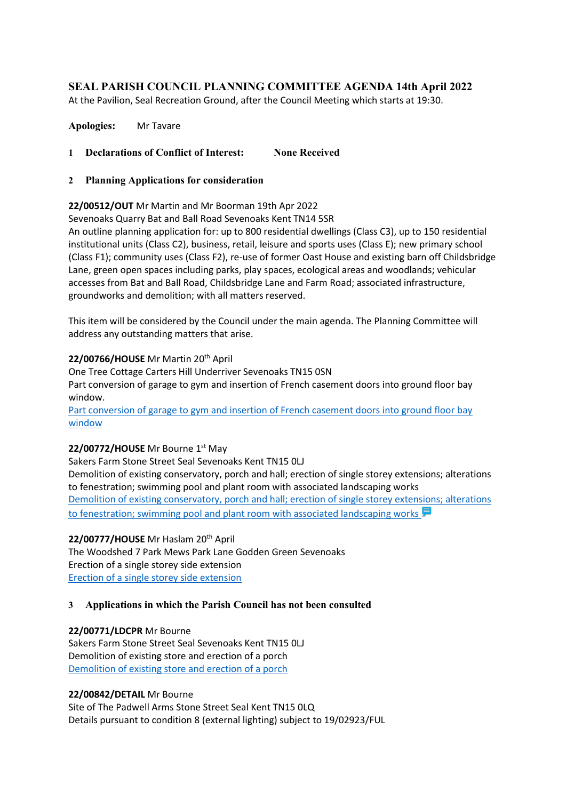# **SEAL PARISH COUNCIL PLANNING COMMITTEE AGENDA 14th April 2022**

At the Pavilion, Seal Recreation Ground, after the Council Meeting which starts at 19:30.

**Apologies:** Mr Tavare

## **1 Declarations of Conflict of Interest: None Received**

**2 Planning Applications for consideration**

## **22/00512/OUT** Mr Martin and Mr Boorman 19th Apr 2022

Sevenoaks Quarry Bat and Ball Road Sevenoaks Kent TN14 5SR

An outline planning application for: up to 800 residential dwellings (Class C3), up to 150 residential institutional units (Class C2), business, retail, leisure and sports uses (Class E); new primary school (Class F1); community uses (Class F2), re-use of former Oast House and existing barn off Childsbridge Lane, green open spaces including parks, play spaces, ecological areas and woodlands; vehicular accesses from Bat and Ball Road, Childsbridge Lane and Farm Road; associated infrastructure, groundworks and demolition; with all matters reserved.

This item will be considered by the Council under the main agenda. The Planning Committee will address any outstanding matters that arise.

#### **22/00766/HOUSE** Mr Martin 20th April

One Tree Cottage Carters Hill Underriver Sevenoaks TN15 0SN Part conversion of garage to gym and insertion of French casement doors into ground floor bay window.

[Part conversion of garage to gym and insertion of French casement doors into ground floor bay](https://pa.sevenoaks.gov.uk/online-applications/applicationDetails.do?keyVal=R8Y335BK0LO00&activeTab=summary)  [window](https://pa.sevenoaks.gov.uk/online-applications/applicationDetails.do?keyVal=R8Y335BK0LO00&activeTab=summary)

## **22/00772/HOUSE** Mr Bourne 1st May

Sakers Farm Stone Street Seal Sevenoaks Kent TN15 0LJ Demolition of existing conservatory, porch and hall; erection of single storey extensions; alterations to fenestration; swimming pool and plant room with associated landscaping works [Demolition of existing conservatory, porch and hall; erection of single storey extensions; alterations](https://pa.sevenoaks.gov.uk/online-applications/applicationDetails.do?keyVal=R8Y9RDBKIIB00&activeTab=summary)  [to fenestration; swimming pool and plant room with associated landscaping works](https://pa.sevenoaks.gov.uk/online-applications/applicationDetails.do?keyVal=R8Y9RDBKIIB00&activeTab=summary)  $\blacksquare$ 

## **22/00777/HOUSE** Mr Haslam 20th April

The Woodshed 7 Park Mews Park Lane Godden Green Sevenoaks Erection of a single storey side extension [Erection of a single storey side extension](https://pa.sevenoaks.gov.uk/online-applications/applicationDetails.do?keyVal=R8Y9SSBKIIL00&activeTab=summary)

## **3 Applications in which the Parish Council has not been consulted**

## **22/00771/LDCPR** Mr Bourne

Sakers Farm Stone Street Seal Sevenoaks Kent TN15 0LJ Demolition of existing store and erection of a porch [Demolition of existing store and erection of a porch](https://pa.sevenoaks.gov.uk/online-applications/applicationDetails.do?keyVal=R8Y9QVBKII900&activeTab=summary)

## **22/00842/DETAIL** Mr Bourne

Site of The Padwell Arms Stone Street Seal Kent TN15 0LQ Details pursuant to condition 8 (external lighting) subject to 19/02923/FUL